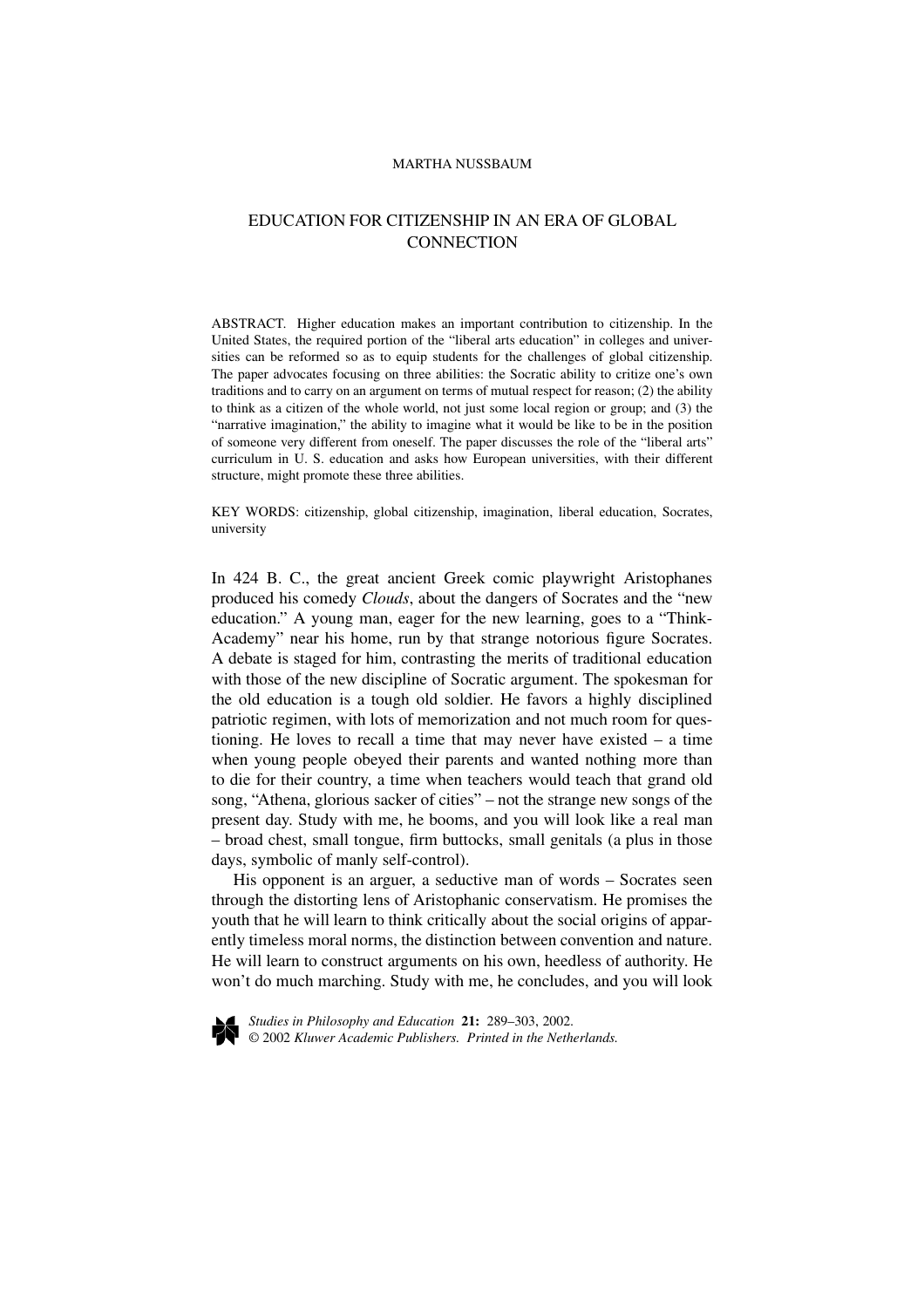# EDUCATION FOR CITIZENSHIP IN AN ERA OF GLOBAL **CONNECTION**

ABSTRACT. Higher education makes an important contribution to citizenship. In the United States, the required portion of the "liberal arts education" in colleges and universities can be reformed so as to equip students for the challenges of global citizenship. The paper advocates focusing on three abilities: the Socratic ability to critize one's own traditions and to carry on an argument on terms of mutual respect for reason; (2) the ability to think as a citizen of the whole world, not just some local region or group; and (3) the "narrative imagination," the ability to imagine what it would be like to be in the position of someone very different from oneself. The paper discusses the role of the "liberal arts" curriculum in U. S. education and asks how European universities, with their different structure, might promote these three abilities.

KEY WORDS: citizenship, global citizenship, imagination, liberal education, Socrates, university

In 424 B. C., the great ancient Greek comic playwright Aristophanes produced his comedy *Clouds*, about the dangers of Socrates and the "new education." A young man, eager for the new learning, goes to a "Think-Academy" near his home, run by that strange notorious figure Socrates. A debate is staged for him, contrasting the merits of traditional education with those of the new discipline of Socratic argument. The spokesman for the old education is a tough old soldier. He favors a highly disciplined patriotic regimen, with lots of memorization and not much room for questioning. He loves to recall a time that may never have existed – a time when young people obeyed their parents and wanted nothing more than to die for their country, a time when teachers would teach that grand old song, "Athena, glorious sacker of cities" – not the strange new songs of the present day. Study with me, he booms, and you will look like a real man – broad chest, small tongue, firm buttocks, small genitals (a plus in those days, symbolic of manly self-control).

His opponent is an arguer, a seductive man of words – Socrates seen through the distorting lens of Aristophanic conservatism. He promises the youth that he will learn to think critically about the social origins of apparently timeless moral norms, the distinction between convention and nature. He will learn to construct arguments on his own, heedless of authority. He won't do much marching. Study with me, he concludes, and you will look



*Studies in Philosophy and Education* **21:** 289–303, 2002. © 2002 *Kluwer Academic Publishers. Printed in the Netherlands.*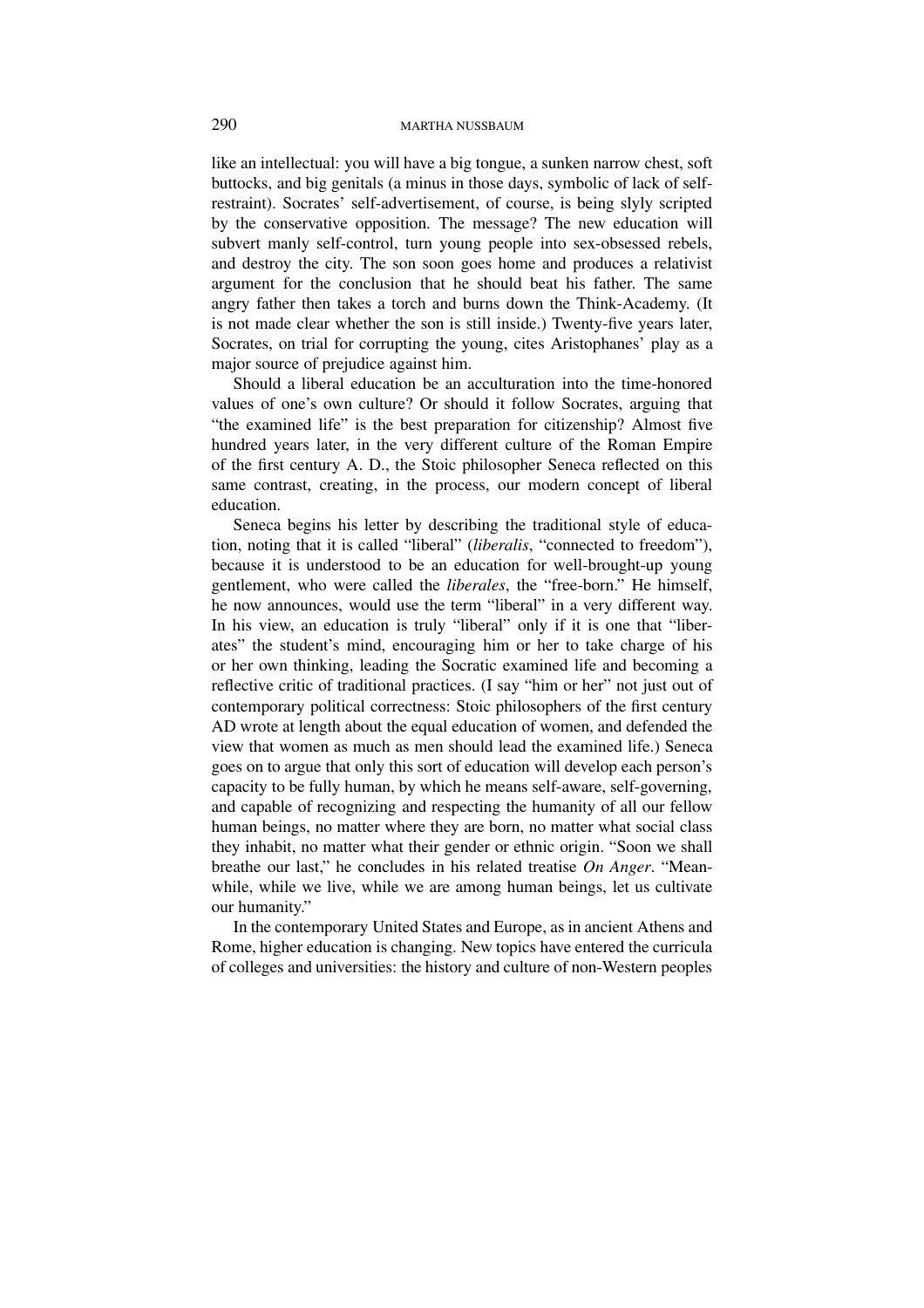like an intellectual: you will have a big tongue, a sunken narrow chest, soft buttocks, and big genitals (a minus in those days, symbolic of lack of selfrestraint). Socrates' self-advertisement, of course, is being slyly scripted by the conservative opposition. The message? The new education will subvert manly self-control, turn young people into sex-obsessed rebels, and destroy the city. The son soon goes home and produces a relativist argument for the conclusion that he should beat his father. The same angry father then takes a torch and burns down the Think-Academy. (It is not made clear whether the son is still inside.) Twenty-five years later, Socrates, on trial for corrupting the young, cites Aristophanes' play as a major source of prejudice against him.

Should a liberal education be an acculturation into the time-honored values of one's own culture? Or should it follow Socrates, arguing that "the examined life" is the best preparation for citizenship? Almost five hundred years later, in the very different culture of the Roman Empire of the first century A. D., the Stoic philosopher Seneca reflected on this same contrast, creating, in the process, our modern concept of liberal education.

Seneca begins his letter by describing the traditional style of education, noting that it is called "liberal" (*liberalis*, "connected to freedom"), because it is understood to be an education for well-brought-up young gentlement, who were called the *liberales*, the "free-born." He himself, he now announces, would use the term "liberal" in a very different way. In his view, an education is truly "liberal" only if it is one that "liberates" the student's mind, encouraging him or her to take charge of his or her own thinking, leading the Socratic examined life and becoming a reflective critic of traditional practices. (I say "him or her" not just out of contemporary political correctness: Stoic philosophers of the first century AD wrote at length about the equal education of women, and defended the view that women as much as men should lead the examined life.) Seneca goes on to argue that only this sort of education will develop each person's capacity to be fully human, by which he means self-aware, self-governing, and capable of recognizing and respecting the humanity of all our fellow human beings, no matter where they are born, no matter what social class they inhabit, no matter what their gender or ethnic origin. "Soon we shall breathe our last," he concludes in his related treatise *On Anger*. "Meanwhile, while we live, while we are among human beings, let us cultivate our humanity."

In the contemporary United States and Europe, as in ancient Athens and Rome, higher education is changing. New topics have entered the curricula of colleges and universities: the history and culture of non-Western peoples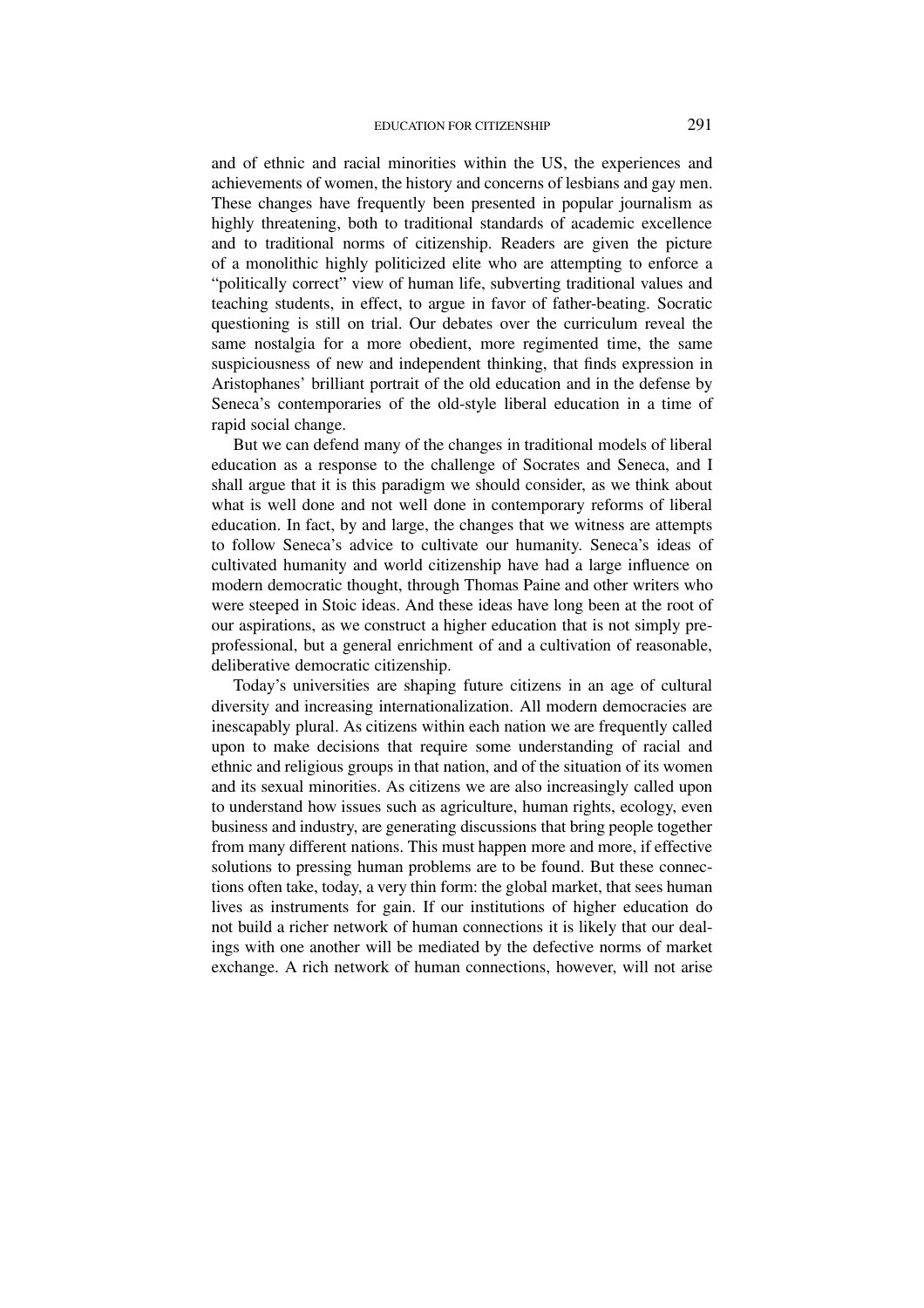and of ethnic and racial minorities within the US, the experiences and achievements of women, the history and concerns of lesbians and gay men. These changes have frequently been presented in popular journalism as highly threatening, both to traditional standards of academic excellence and to traditional norms of citizenship. Readers are given the picture of a monolithic highly politicized elite who are attempting to enforce a "politically correct" view of human life, subverting traditional values and teaching students, in effect, to argue in favor of father-beating. Socratic questioning is still on trial. Our debates over the curriculum reveal the same nostalgia for a more obedient, more regimented time, the same suspiciousness of new and independent thinking, that finds expression in Aristophanes' brilliant portrait of the old education and in the defense by Seneca's contemporaries of the old-style liberal education in a time of rapid social change.

But we can defend many of the changes in traditional models of liberal education as a response to the challenge of Socrates and Seneca, and I shall argue that it is this paradigm we should consider, as we think about what is well done and not well done in contemporary reforms of liberal education. In fact, by and large, the changes that we witness are attempts to follow Seneca's advice to cultivate our humanity. Seneca's ideas of cultivated humanity and world citizenship have had a large influence on modern democratic thought, through Thomas Paine and other writers who were steeped in Stoic ideas. And these ideas have long been at the root of our aspirations, as we construct a higher education that is not simply preprofessional, but a general enrichment of and a cultivation of reasonable, deliberative democratic citizenship.

Today's universities are shaping future citizens in an age of cultural diversity and increasing internationalization. All modern democracies are inescapably plural. As citizens within each nation we are frequently called upon to make decisions that require some understanding of racial and ethnic and religious groups in that nation, and of the situation of its women and its sexual minorities. As citizens we are also increasingly called upon to understand how issues such as agriculture, human rights, ecology, even business and industry, are generating discussions that bring people together from many different nations. This must happen more and more, if effective solutions to pressing human problems are to be found. But these connections often take, today, a very thin form: the global market, that sees human lives as instruments for gain. If our institutions of higher education do not build a richer network of human connections it is likely that our dealings with one another will be mediated by the defective norms of market exchange. A rich network of human connections, however, will not arise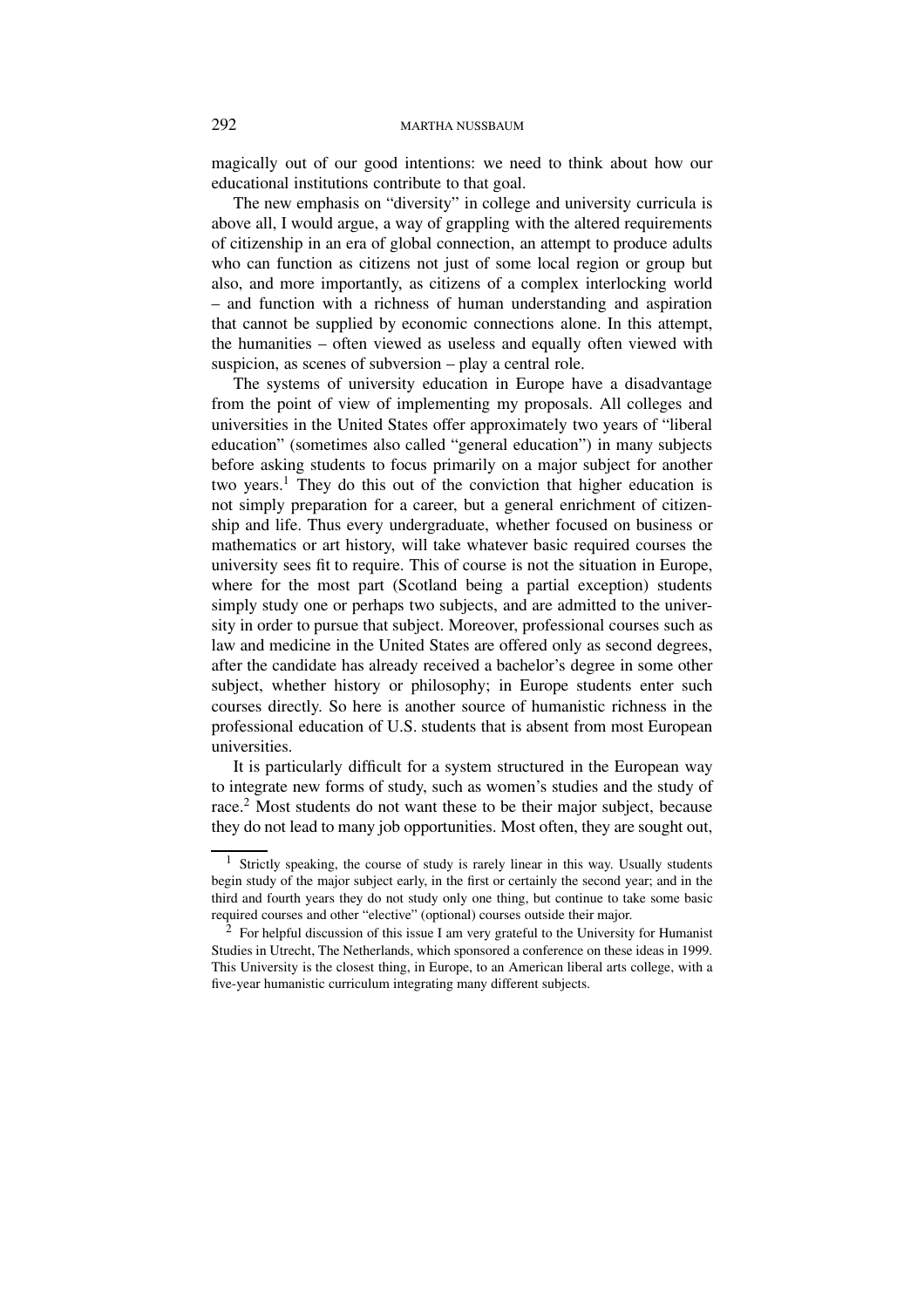magically out of our good intentions: we need to think about how our educational institutions contribute to that goal.

The new emphasis on "diversity" in college and university curricula is above all, I would argue, a way of grappling with the altered requirements of citizenship in an era of global connection, an attempt to produce adults who can function as citizens not just of some local region or group but also, and more importantly, as citizens of a complex interlocking world – and function with a richness of human understanding and aspiration that cannot be supplied by economic connections alone. In this attempt, the humanities – often viewed as useless and equally often viewed with suspicion, as scenes of subversion – play a central role.

The systems of university education in Europe have a disadvantage from the point of view of implementing my proposals. All colleges and universities in the United States offer approximately two years of "liberal education" (sometimes also called "general education") in many subjects before asking students to focus primarily on a major subject for another two years.<sup>1</sup> They do this out of the conviction that higher education is not simply preparation for a career, but a general enrichment of citizenship and life. Thus every undergraduate, whether focused on business or mathematics or art history, will take whatever basic required courses the university sees fit to require. This of course is not the situation in Europe, where for the most part (Scotland being a partial exception) students simply study one or perhaps two subjects, and are admitted to the university in order to pursue that subject. Moreover, professional courses such as law and medicine in the United States are offered only as second degrees, after the candidate has already received a bachelor's degree in some other subject, whether history or philosophy; in Europe students enter such courses directly. So here is another source of humanistic richness in the professional education of U.S. students that is absent from most European universities.

It is particularly difficult for a system structured in the European way to integrate new forms of study, such as women's studies and the study of race.<sup>2</sup> Most students do not want these to be their major subject, because they do not lead to many job opportunities. Most often, they are sought out,

<sup>1</sup> Strictly speaking, the course of study is rarely linear in this way. Usually students begin study of the major subject early, in the first or certainly the second year; and in the third and fourth years they do not study only one thing, but continue to take some basic required courses and other "elective" (optional) courses outside their major.

<sup>2</sup> For helpful discussion of this issue I am very grateful to the University for Humanist Studies in Utrecht, The Netherlands, which sponsored a conference on these ideas in 1999. This University is the closest thing, in Europe, to an American liberal arts college, with a five-year humanistic curriculum integrating many different subjects.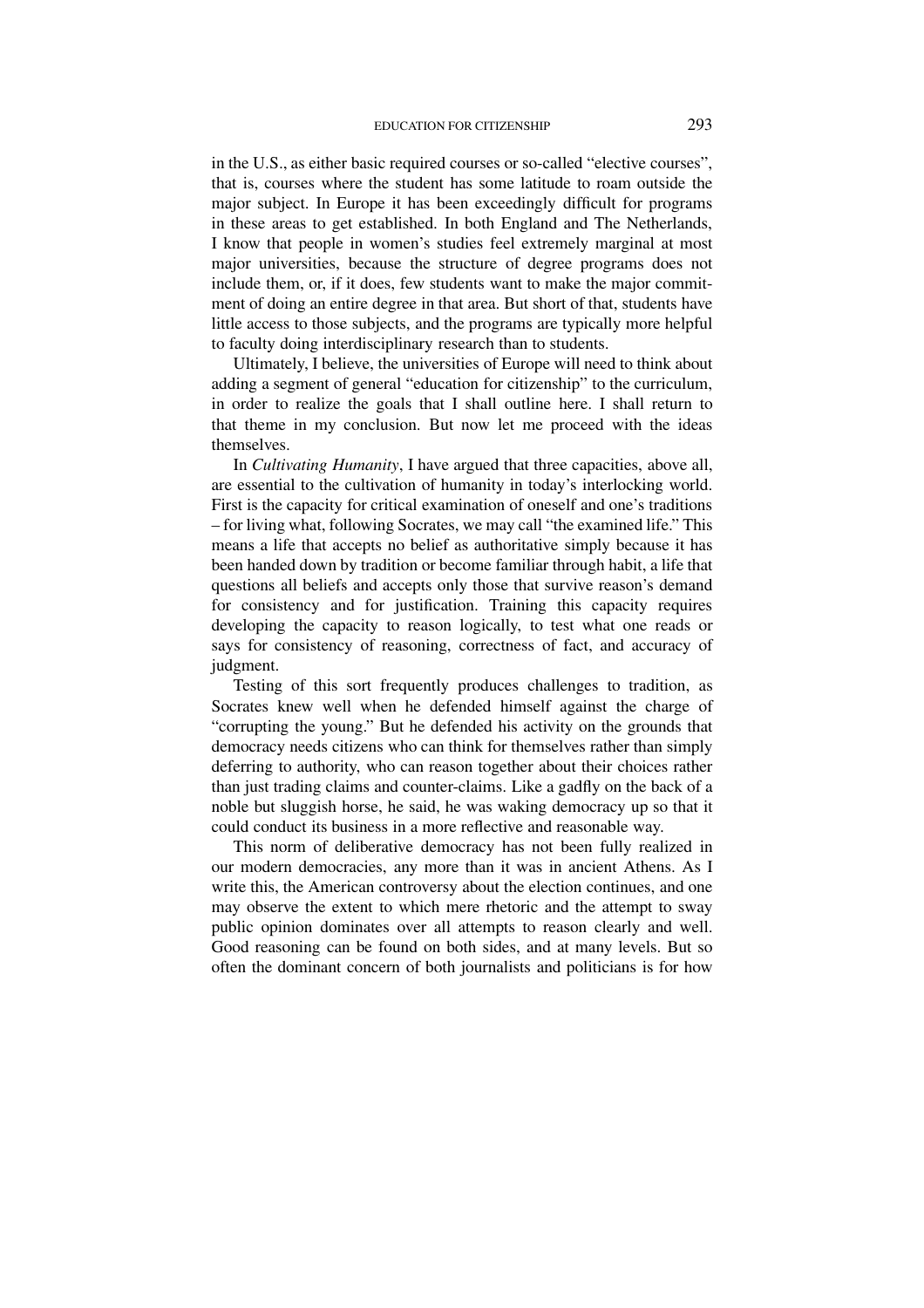in the U.S., as either basic required courses or so-called "elective courses", that is, courses where the student has some latitude to roam outside the major subject. In Europe it has been exceedingly difficult for programs in these areas to get established. In both England and The Netherlands, I know that people in women's studies feel extremely marginal at most major universities, because the structure of degree programs does not include them, or, if it does, few students want to make the major commitment of doing an entire degree in that area. But short of that, students have little access to those subjects, and the programs are typically more helpful to faculty doing interdisciplinary research than to students.

Ultimately, I believe, the universities of Europe will need to think about adding a segment of general "education for citizenship" to the curriculum, in order to realize the goals that I shall outline here. I shall return to that theme in my conclusion. But now let me proceed with the ideas themselves.

In *Cultivating Humanity*, I have argued that three capacities, above all, are essential to the cultivation of humanity in today's interlocking world. First is the capacity for critical examination of oneself and one's traditions – for living what, following Socrates, we may call "the examined life." This means a life that accepts no belief as authoritative simply because it has been handed down by tradition or become familiar through habit, a life that questions all beliefs and accepts only those that survive reason's demand for consistency and for justification. Training this capacity requires developing the capacity to reason logically, to test what one reads or says for consistency of reasoning, correctness of fact, and accuracy of judgment.

Testing of this sort frequently produces challenges to tradition, as Socrates knew well when he defended himself against the charge of "corrupting the young." But he defended his activity on the grounds that democracy needs citizens who can think for themselves rather than simply deferring to authority, who can reason together about their choices rather than just trading claims and counter-claims. Like a gadfly on the back of a noble but sluggish horse, he said, he was waking democracy up so that it could conduct its business in a more reflective and reasonable way.

This norm of deliberative democracy has not been fully realized in our modern democracies, any more than it was in ancient Athens. As I write this, the American controversy about the election continues, and one may observe the extent to which mere rhetoric and the attempt to sway public opinion dominates over all attempts to reason clearly and well. Good reasoning can be found on both sides, and at many levels. But so often the dominant concern of both journalists and politicians is for how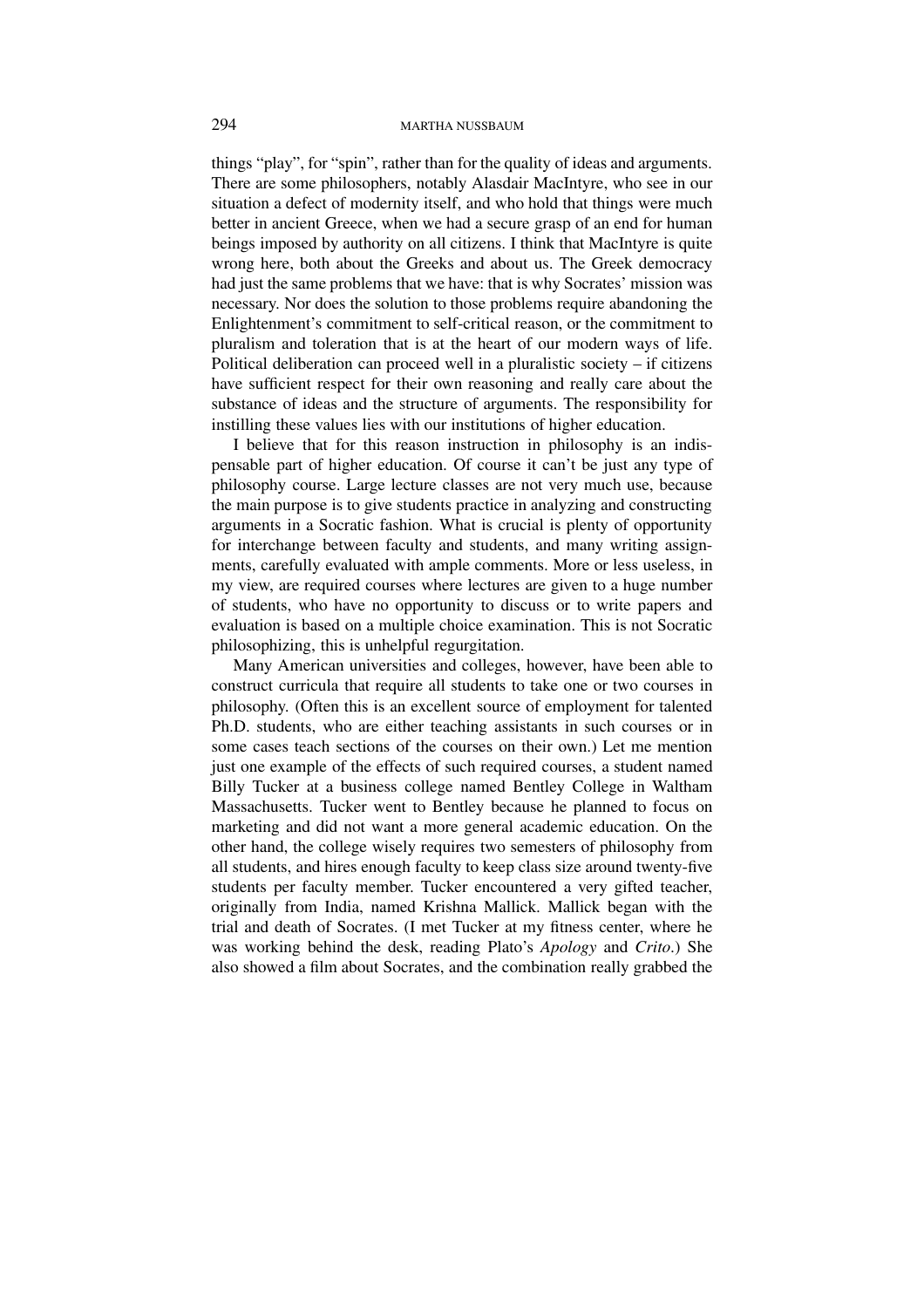things "play", for "spin", rather than for the quality of ideas and arguments. There are some philosophers, notably Alasdair MacIntyre, who see in our situation a defect of modernity itself, and who hold that things were much better in ancient Greece, when we had a secure grasp of an end for human beings imposed by authority on all citizens. I think that MacIntyre is quite wrong here, both about the Greeks and about us. The Greek democracy had just the same problems that we have: that is why Socrates' mission was necessary. Nor does the solution to those problems require abandoning the Enlightenment's commitment to self-critical reason, or the commitment to pluralism and toleration that is at the heart of our modern ways of life. Political deliberation can proceed well in a pluralistic society – if citizens have sufficient respect for their own reasoning and really care about the substance of ideas and the structure of arguments. The responsibility for instilling these values lies with our institutions of higher education.

I believe that for this reason instruction in philosophy is an indispensable part of higher education. Of course it can't be just any type of philosophy course. Large lecture classes are not very much use, because the main purpose is to give students practice in analyzing and constructing arguments in a Socratic fashion. What is crucial is plenty of opportunity for interchange between faculty and students, and many writing assignments, carefully evaluated with ample comments. More or less useless, in my view, are required courses where lectures are given to a huge number of students, who have no opportunity to discuss or to write papers and evaluation is based on a multiple choice examination. This is not Socratic philosophizing, this is unhelpful regurgitation.

Many American universities and colleges, however, have been able to construct curricula that require all students to take one or two courses in philosophy. (Often this is an excellent source of employment for talented Ph.D. students, who are either teaching assistants in such courses or in some cases teach sections of the courses on their own.) Let me mention just one example of the effects of such required courses, a student named Billy Tucker at a business college named Bentley College in Waltham Massachusetts. Tucker went to Bentley because he planned to focus on marketing and did not want a more general academic education. On the other hand, the college wisely requires two semesters of philosophy from all students, and hires enough faculty to keep class size around twenty-five students per faculty member. Tucker encountered a very gifted teacher, originally from India, named Krishna Mallick. Mallick began with the trial and death of Socrates. (I met Tucker at my fitness center, where he was working behind the desk, reading Plato's *Apology* and *Crito*.) She also showed a film about Socrates, and the combination really grabbed the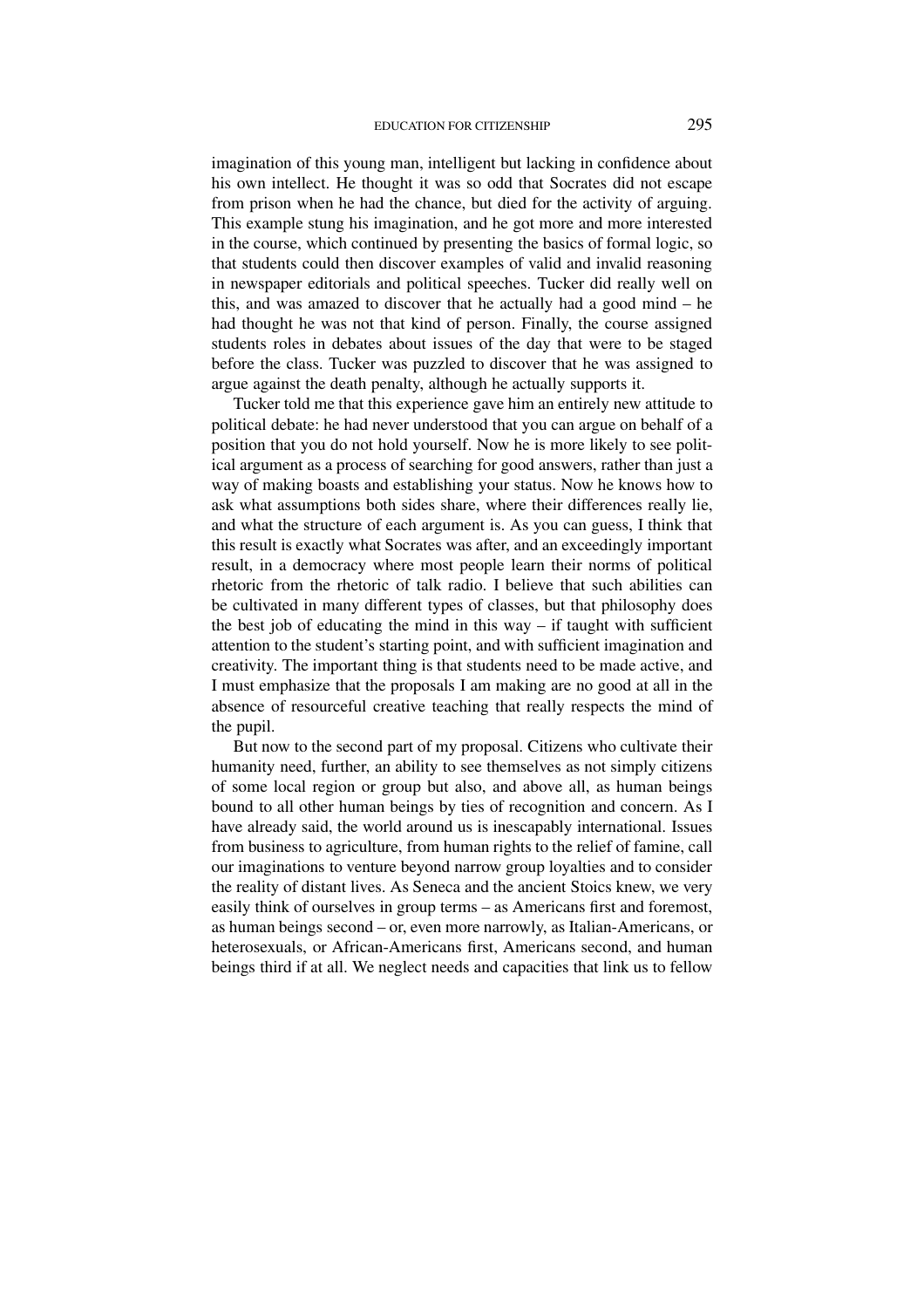imagination of this young man, intelligent but lacking in confidence about his own intellect. He thought it was so odd that Socrates did not escape from prison when he had the chance, but died for the activity of arguing. This example stung his imagination, and he got more and more interested in the course, which continued by presenting the basics of formal logic, so that students could then discover examples of valid and invalid reasoning in newspaper editorials and political speeches. Tucker did really well on this, and was amazed to discover that he actually had a good mind – he had thought he was not that kind of person. Finally, the course assigned students roles in debates about issues of the day that were to be staged before the class. Tucker was puzzled to discover that he was assigned to argue against the death penalty, although he actually supports it.

Tucker told me that this experience gave him an entirely new attitude to political debate: he had never understood that you can argue on behalf of a position that you do not hold yourself. Now he is more likely to see political argument as a process of searching for good answers, rather than just a way of making boasts and establishing your status. Now he knows how to ask what assumptions both sides share, where their differences really lie, and what the structure of each argument is. As you can guess, I think that this result is exactly what Socrates was after, and an exceedingly important result, in a democracy where most people learn their norms of political rhetoric from the rhetoric of talk radio. I believe that such abilities can be cultivated in many different types of classes, but that philosophy does the best job of educating the mind in this way  $-$  if taught with sufficient attention to the student's starting point, and with sufficient imagination and creativity. The important thing is that students need to be made active, and I must emphasize that the proposals I am making are no good at all in the absence of resourceful creative teaching that really respects the mind of the pupil.

But now to the second part of my proposal. Citizens who cultivate their humanity need, further, an ability to see themselves as not simply citizens of some local region or group but also, and above all, as human beings bound to all other human beings by ties of recognition and concern. As I have already said, the world around us is inescapably international. Issues from business to agriculture, from human rights to the relief of famine, call our imaginations to venture beyond narrow group loyalties and to consider the reality of distant lives. As Seneca and the ancient Stoics knew, we very easily think of ourselves in group terms – as Americans first and foremost, as human beings second – or, even more narrowly, as Italian-Americans, or heterosexuals, or African-Americans first, Americans second, and human beings third if at all. We neglect needs and capacities that link us to fellow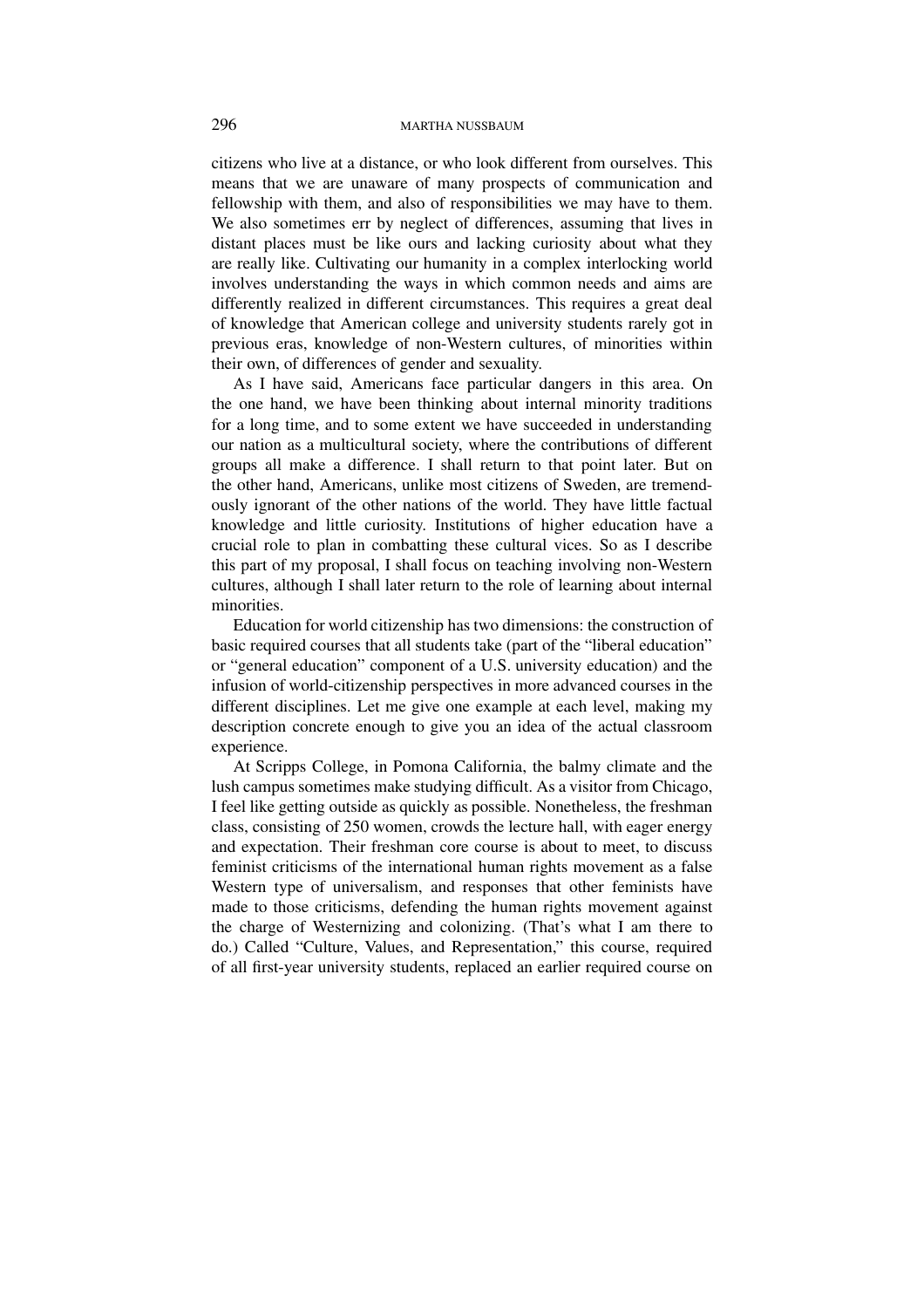citizens who live at a distance, or who look different from ourselves. This means that we are unaware of many prospects of communication and fellowship with them, and also of responsibilities we may have to them. We also sometimes err by neglect of differences, assuming that lives in distant places must be like ours and lacking curiosity about what they are really like. Cultivating our humanity in a complex interlocking world involves understanding the ways in which common needs and aims are differently realized in different circumstances. This requires a great deal of knowledge that American college and university students rarely got in previous eras, knowledge of non-Western cultures, of minorities within their own, of differences of gender and sexuality.

As I have said, Americans face particular dangers in this area. On the one hand, we have been thinking about internal minority traditions for a long time, and to some extent we have succeeded in understanding our nation as a multicultural society, where the contributions of different groups all make a difference. I shall return to that point later. But on the other hand, Americans, unlike most citizens of Sweden, are tremendously ignorant of the other nations of the world. They have little factual knowledge and little curiosity. Institutions of higher education have a crucial role to plan in combatting these cultural vices. So as I describe this part of my proposal, I shall focus on teaching involving non-Western cultures, although I shall later return to the role of learning about internal minorities.

Education for world citizenship has two dimensions: the construction of basic required courses that all students take (part of the "liberal education" or "general education" component of a U.S. university education) and the infusion of world-citizenship perspectives in more advanced courses in the different disciplines. Let me give one example at each level, making my description concrete enough to give you an idea of the actual classroom experience.

At Scripps College, in Pomona California, the balmy climate and the lush campus sometimes make studying difficult. As a visitor from Chicago, I feel like getting outside as quickly as possible. Nonetheless, the freshman class, consisting of 250 women, crowds the lecture hall, with eager energy and expectation. Their freshman core course is about to meet, to discuss feminist criticisms of the international human rights movement as a false Western type of universalism, and responses that other feminists have made to those criticisms, defending the human rights movement against the charge of Westernizing and colonizing. (That's what I am there to do.) Called "Culture, Values, and Representation," this course, required of all first-year university students, replaced an earlier required course on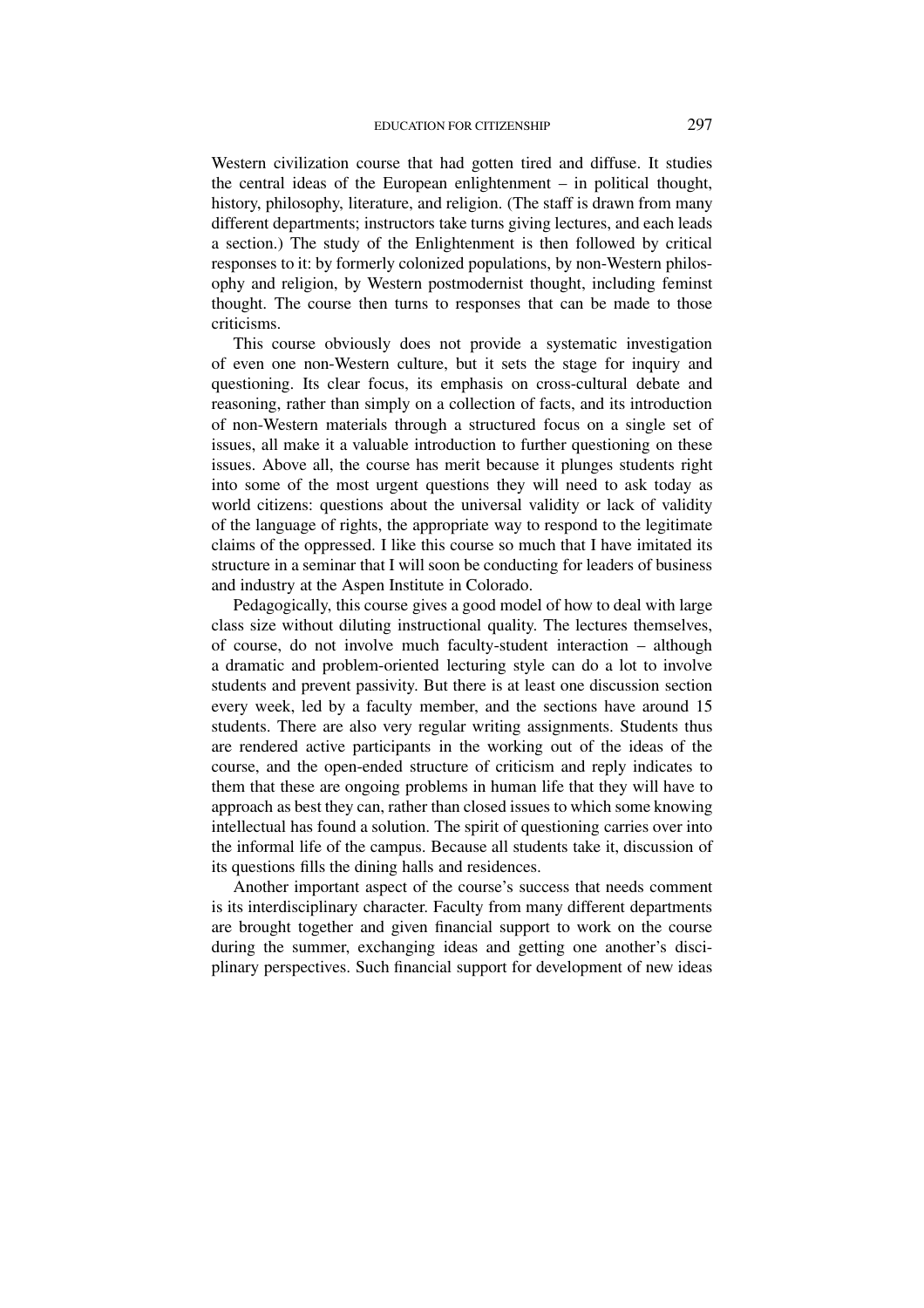Western civilization course that had gotten tired and diffuse. It studies the central ideas of the European enlightenment – in political thought, history, philosophy, literature, and religion. (The staff is drawn from many different departments; instructors take turns giving lectures, and each leads a section.) The study of the Enlightenment is then followed by critical responses to it: by formerly colonized populations, by non-Western philosophy and religion, by Western postmodernist thought, including feminst thought. The course then turns to responses that can be made to those criticisms.

This course obviously does not provide a systematic investigation of even one non-Western culture, but it sets the stage for inquiry and questioning. Its clear focus, its emphasis on cross-cultural debate and reasoning, rather than simply on a collection of facts, and its introduction of non-Western materials through a structured focus on a single set of issues, all make it a valuable introduction to further questioning on these issues. Above all, the course has merit because it plunges students right into some of the most urgent questions they will need to ask today as world citizens: questions about the universal validity or lack of validity of the language of rights, the appropriate way to respond to the legitimate claims of the oppressed. I like this course so much that I have imitated its structure in a seminar that I will soon be conducting for leaders of business and industry at the Aspen Institute in Colorado.

Pedagogically, this course gives a good model of how to deal with large class size without diluting instructional quality. The lectures themselves, of course, do not involve much faculty-student interaction – although a dramatic and problem-oriented lecturing style can do a lot to involve students and prevent passivity. But there is at least one discussion section every week, led by a faculty member, and the sections have around 15 students. There are also very regular writing assignments. Students thus are rendered active participants in the working out of the ideas of the course, and the open-ended structure of criticism and reply indicates to them that these are ongoing problems in human life that they will have to approach as best they can, rather than closed issues to which some knowing intellectual has found a solution. The spirit of questioning carries over into the informal life of the campus. Because all students take it, discussion of its questions fills the dining halls and residences.

Another important aspect of the course's success that needs comment is its interdisciplinary character. Faculty from many different departments are brought together and given financial support to work on the course during the summer, exchanging ideas and getting one another's disciplinary perspectives. Such financial support for development of new ideas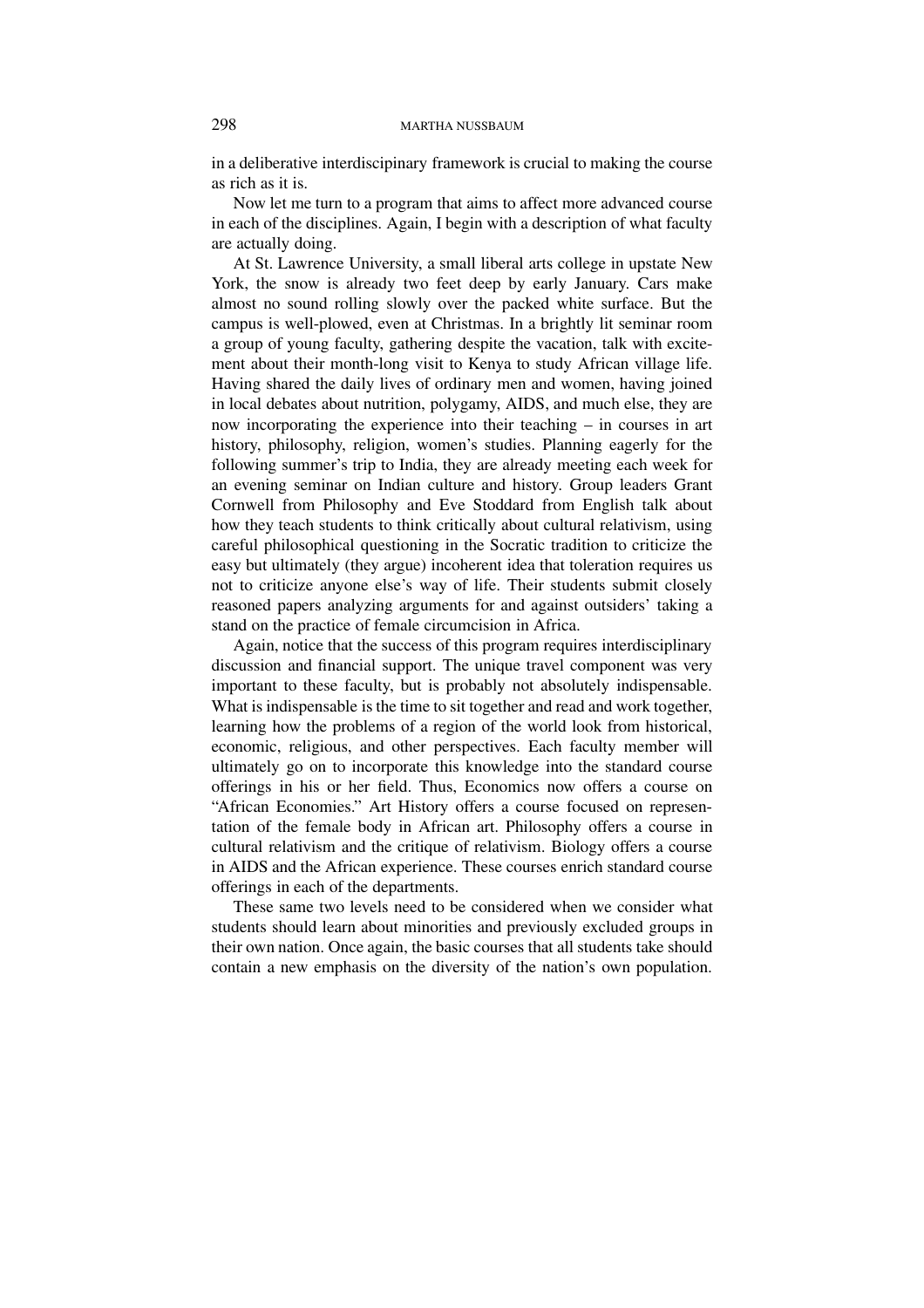in a deliberative interdiscipinary framework is crucial to making the course as rich as it is.

Now let me turn to a program that aims to affect more advanced course in each of the disciplines. Again, I begin with a description of what faculty are actually doing.

At St. Lawrence University, a small liberal arts college in upstate New York, the snow is already two feet deep by early January. Cars make almost no sound rolling slowly over the packed white surface. But the campus is well-plowed, even at Christmas. In a brightly lit seminar room a group of young faculty, gathering despite the vacation, talk with excitement about their month-long visit to Kenya to study African village life. Having shared the daily lives of ordinary men and women, having joined in local debates about nutrition, polygamy, AIDS, and much else, they are now incorporating the experience into their teaching – in courses in art history, philosophy, religion, women's studies. Planning eagerly for the following summer's trip to India, they are already meeting each week for an evening seminar on Indian culture and history. Group leaders Grant Cornwell from Philosophy and Eve Stoddard from English talk about how they teach students to think critically about cultural relativism, using careful philosophical questioning in the Socratic tradition to criticize the easy but ultimately (they argue) incoherent idea that toleration requires us not to criticize anyone else's way of life. Their students submit closely reasoned papers analyzing arguments for and against outsiders' taking a stand on the practice of female circumcision in Africa.

Again, notice that the success of this program requires interdisciplinary discussion and financial support. The unique travel component was very important to these faculty, but is probably not absolutely indispensable. What is indispensable is the time to sit together and read and work together, learning how the problems of a region of the world look from historical, economic, religious, and other perspectives. Each faculty member will ultimately go on to incorporate this knowledge into the standard course offerings in his or her field. Thus, Economics now offers a course on "African Economies." Art History offers a course focused on representation of the female body in African art. Philosophy offers a course in cultural relativism and the critique of relativism. Biology offers a course in AIDS and the African experience. These courses enrich standard course offerings in each of the departments.

These same two levels need to be considered when we consider what students should learn about minorities and previously excluded groups in their own nation. Once again, the basic courses that all students take should contain a new emphasis on the diversity of the nation's own population.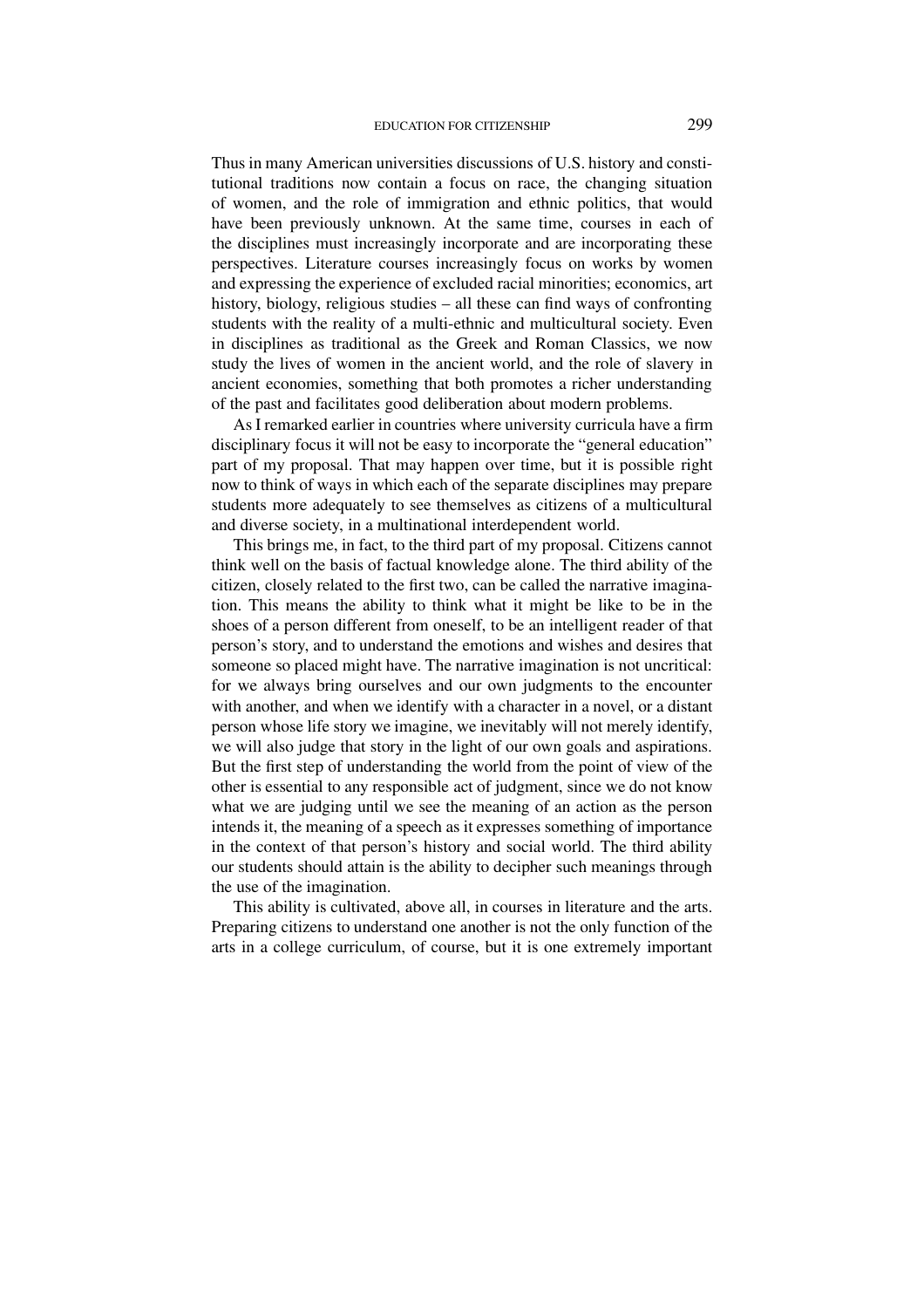Thus in many American universities discussions of U.S. history and constitutional traditions now contain a focus on race, the changing situation of women, and the role of immigration and ethnic politics, that would have been previously unknown. At the same time, courses in each of the disciplines must increasingly incorporate and are incorporating these perspectives. Literature courses increasingly focus on works by women and expressing the experience of excluded racial minorities; economics, art history, biology, religious studies – all these can find ways of confronting students with the reality of a multi-ethnic and multicultural society. Even in disciplines as traditional as the Greek and Roman Classics, we now study the lives of women in the ancient world, and the role of slavery in ancient economies, something that both promotes a richer understanding of the past and facilitates good deliberation about modern problems.

As I remarked earlier in countries where university curricula have a firm disciplinary focus it will not be easy to incorporate the "general education" part of my proposal. That may happen over time, but it is possible right now to think of ways in which each of the separate disciplines may prepare students more adequately to see themselves as citizens of a multicultural and diverse society, in a multinational interdependent world.

This brings me, in fact, to the third part of my proposal. Citizens cannot think well on the basis of factual knowledge alone. The third ability of the citizen, closely related to the first two, can be called the narrative imagination. This means the ability to think what it might be like to be in the shoes of a person different from oneself, to be an intelligent reader of that person's story, and to understand the emotions and wishes and desires that someone so placed might have. The narrative imagination is not uncritical: for we always bring ourselves and our own judgments to the encounter with another, and when we identify with a character in a novel, or a distant person whose life story we imagine, we inevitably will not merely identify, we will also judge that story in the light of our own goals and aspirations. But the first step of understanding the world from the point of view of the other is essential to any responsible act of judgment, since we do not know what we are judging until we see the meaning of an action as the person intends it, the meaning of a speech as it expresses something of importance in the context of that person's history and social world. The third ability our students should attain is the ability to decipher such meanings through the use of the imagination.

This ability is cultivated, above all, in courses in literature and the arts. Preparing citizens to understand one another is not the only function of the arts in a college curriculum, of course, but it is one extremely important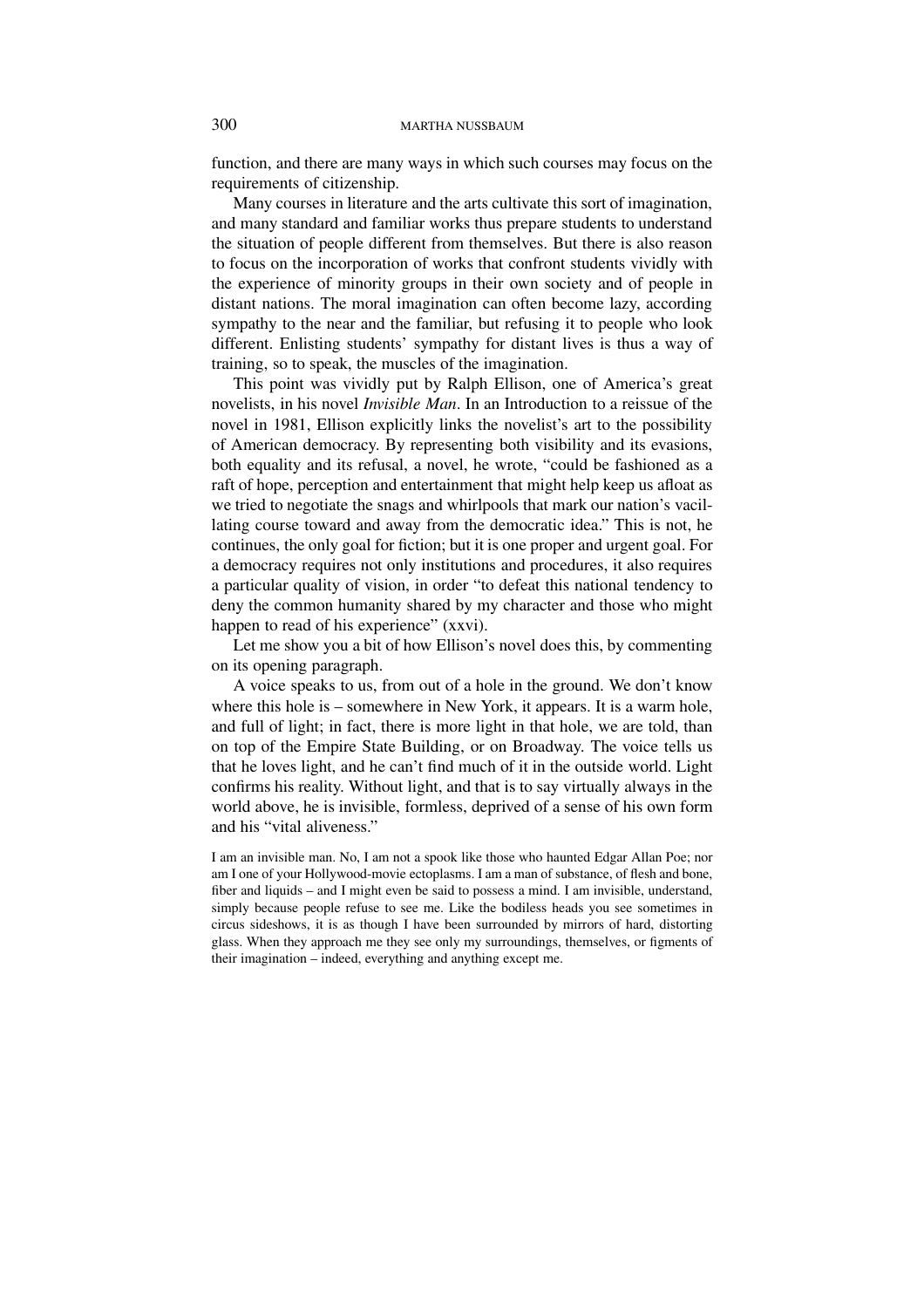function, and there are many ways in which such courses may focus on the requirements of citizenship.

Many courses in literature and the arts cultivate this sort of imagination, and many standard and familiar works thus prepare students to understand the situation of people different from themselves. But there is also reason to focus on the incorporation of works that confront students vividly with the experience of minority groups in their own society and of people in distant nations. The moral imagination can often become lazy, according sympathy to the near and the familiar, but refusing it to people who look different. Enlisting students' sympathy for distant lives is thus a way of training, so to speak, the muscles of the imagination.

This point was vividly put by Ralph Ellison, one of America's great novelists, in his novel *Invisible Man*. In an Introduction to a reissue of the novel in 1981, Ellison explicitly links the novelist's art to the possibility of American democracy. By representing both visibility and its evasions, both equality and its refusal, a novel, he wrote, "could be fashioned as a raft of hope, perception and entertainment that might help keep us afloat as we tried to negotiate the snags and whirlpools that mark our nation's vacillating course toward and away from the democratic idea." This is not, he continues, the only goal for fiction; but it is one proper and urgent goal. For a democracy requires not only institutions and procedures, it also requires a particular quality of vision, in order "to defeat this national tendency to deny the common humanity shared by my character and those who might happen to read of his experience" (xxvi).

Let me show you a bit of how Ellison's novel does this, by commenting on its opening paragraph.

A voice speaks to us, from out of a hole in the ground. We don't know where this hole is – somewhere in New York, it appears. It is a warm hole, and full of light; in fact, there is more light in that hole, we are told, than on top of the Empire State Building, or on Broadway. The voice tells us that he loves light, and he can't find much of it in the outside world. Light confirms his reality. Without light, and that is to say virtually always in the world above, he is invisible, formless, deprived of a sense of his own form and his "vital aliveness."

I am an invisible man. No, I am not a spook like those who haunted Edgar Allan Poe; nor am I one of your Hollywood-movie ectoplasms. I am a man of substance, of flesh and bone, fiber and liquids – and I might even be said to possess a mind. I am invisible, understand, simply because people refuse to see me. Like the bodiless heads you see sometimes in circus sideshows, it is as though I have been surrounded by mirrors of hard, distorting glass. When they approach me they see only my surroundings, themselves, or figments of their imagination – indeed, everything and anything except me.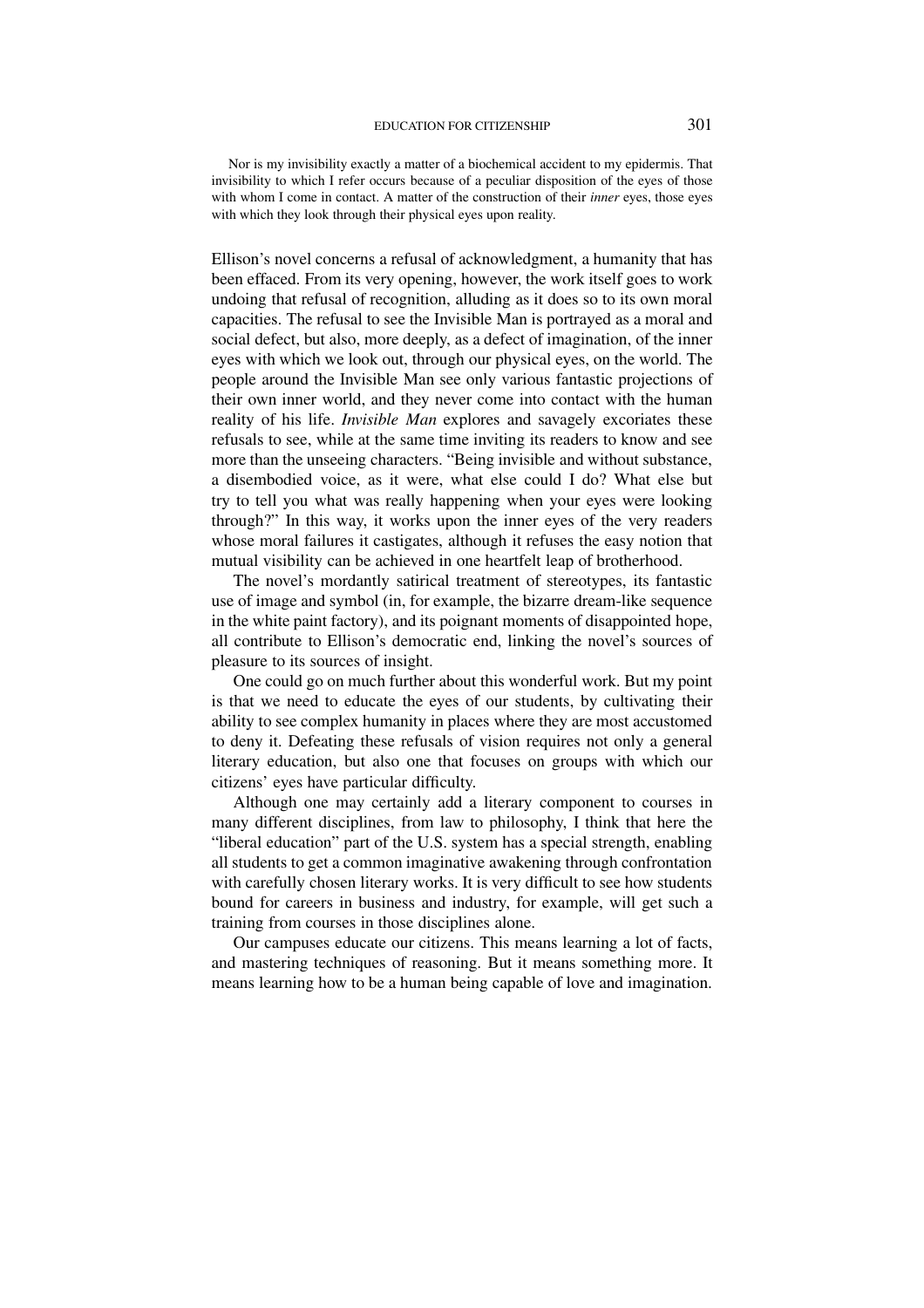#### EDUCATION FOR CITIZENSHIP 301

Nor is my invisibility exactly a matter of a biochemical accident to my epidermis. That invisibility to which I refer occurs because of a peculiar disposition of the eyes of those with whom I come in contact. A matter of the construction of their *inner* eyes, those eyes with which they look through their physical eyes upon reality.

Ellison's novel concerns a refusal of acknowledgment, a humanity that has been effaced. From its very opening, however, the work itself goes to work undoing that refusal of recognition, alluding as it does so to its own moral capacities. The refusal to see the Invisible Man is portrayed as a moral and social defect, but also, more deeply, as a defect of imagination, of the inner eyes with which we look out, through our physical eyes, on the world. The people around the Invisible Man see only various fantastic projections of their own inner world, and they never come into contact with the human reality of his life. *Invisible Man* explores and savagely excoriates these refusals to see, while at the same time inviting its readers to know and see more than the unseeing characters. "Being invisible and without substance, a disembodied voice, as it were, what else could I do? What else but try to tell you what was really happening when your eyes were looking through?" In this way, it works upon the inner eyes of the very readers whose moral failures it castigates, although it refuses the easy notion that mutual visibility can be achieved in one heartfelt leap of brotherhood.

The novel's mordantly satirical treatment of stereotypes, its fantastic use of image and symbol (in, for example, the bizarre dream-like sequence in the white paint factory), and its poignant moments of disappointed hope, all contribute to Ellison's democratic end, linking the novel's sources of pleasure to its sources of insight.

One could go on much further about this wonderful work. But my point is that we need to educate the eyes of our students, by cultivating their ability to see complex humanity in places where they are most accustomed to deny it. Defeating these refusals of vision requires not only a general literary education, but also one that focuses on groups with which our citizens' eyes have particular difficulty.

Although one may certainly add a literary component to courses in many different disciplines, from law to philosophy, I think that here the "liberal education" part of the U.S. system has a special strength, enabling all students to get a common imaginative awakening through confrontation with carefully chosen literary works. It is very difficult to see how students bound for careers in business and industry, for example, will get such a training from courses in those disciplines alone.

Our campuses educate our citizens. This means learning a lot of facts, and mastering techniques of reasoning. But it means something more. It means learning how to be a human being capable of love and imagination.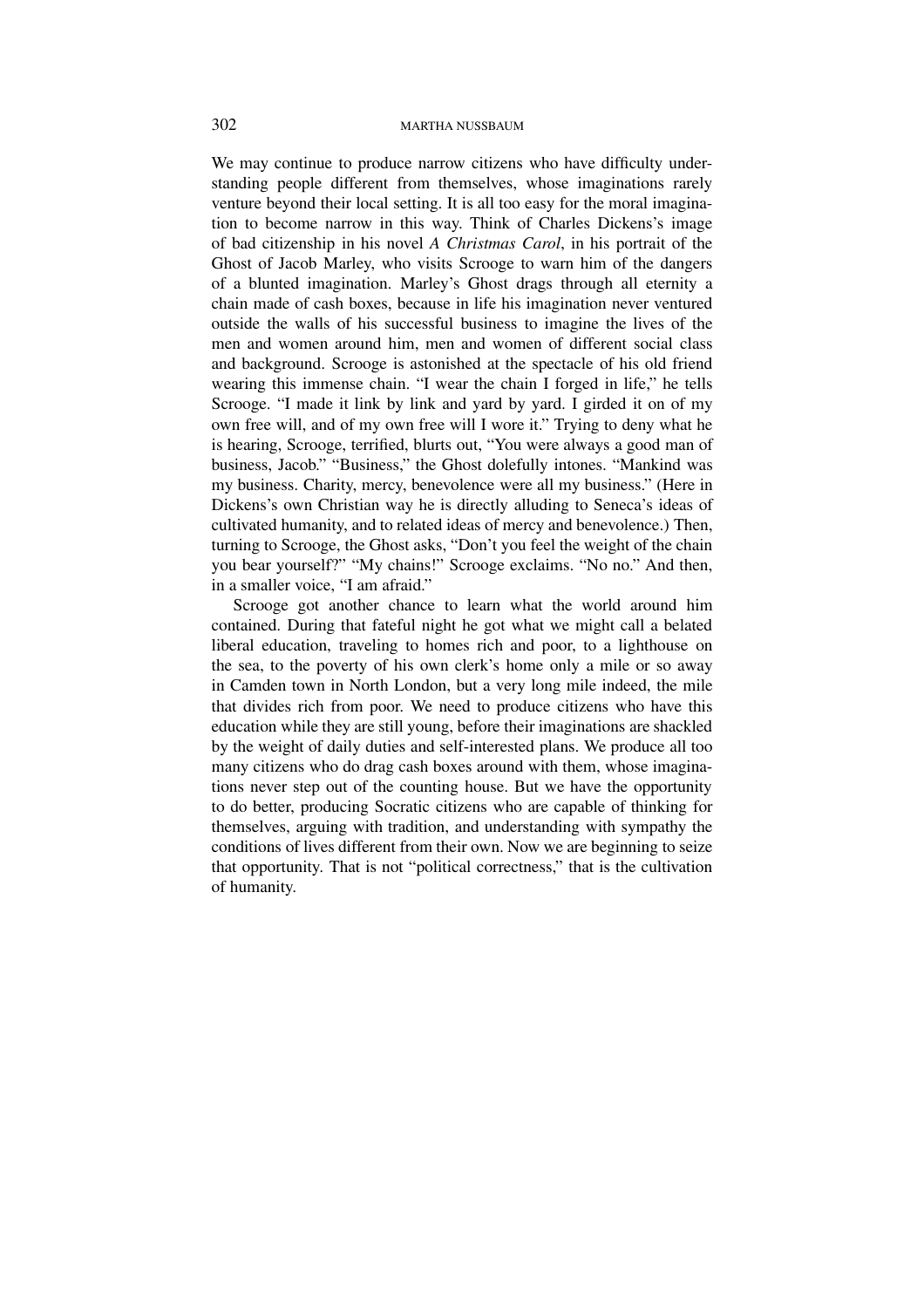We may continue to produce narrow citizens who have difficulty understanding people different from themselves, whose imaginations rarely venture beyond their local setting. It is all too easy for the moral imagination to become narrow in this way. Think of Charles Dickens's image of bad citizenship in his novel *A Christmas Carol*, in his portrait of the Ghost of Jacob Marley, who visits Scrooge to warn him of the dangers of a blunted imagination. Marley's Ghost drags through all eternity a chain made of cash boxes, because in life his imagination never ventured outside the walls of his successful business to imagine the lives of the men and women around him, men and women of different social class and background. Scrooge is astonished at the spectacle of his old friend wearing this immense chain. "I wear the chain I forged in life," he tells Scrooge. "I made it link by link and yard by yard. I girded it on of my own free will, and of my own free will I wore it." Trying to deny what he is hearing, Scrooge, terrified, blurts out, "You were always a good man of business, Jacob." "Business," the Ghost dolefully intones. "Mankind was my business. Charity, mercy, benevolence were all my business." (Here in Dickens's own Christian way he is directly alluding to Seneca's ideas of cultivated humanity, and to related ideas of mercy and benevolence.) Then, turning to Scrooge, the Ghost asks, "Don't you feel the weight of the chain you bear yourself?" "My chains!" Scrooge exclaims. "No no." And then, in a smaller voice, "I am afraid."

Scrooge got another chance to learn what the world around him contained. During that fateful night he got what we might call a belated liberal education, traveling to homes rich and poor, to a lighthouse on the sea, to the poverty of his own clerk's home only a mile or so away in Camden town in North London, but a very long mile indeed, the mile that divides rich from poor. We need to produce citizens who have this education while they are still young, before their imaginations are shackled by the weight of daily duties and self-interested plans. We produce all too many citizens who do drag cash boxes around with them, whose imaginations never step out of the counting house. But we have the opportunity to do better, producing Socratic citizens who are capable of thinking for themselves, arguing with tradition, and understanding with sympathy the conditions of lives different from their own. Now we are beginning to seize that opportunity. That is not "political correctness," that is the cultivation of humanity.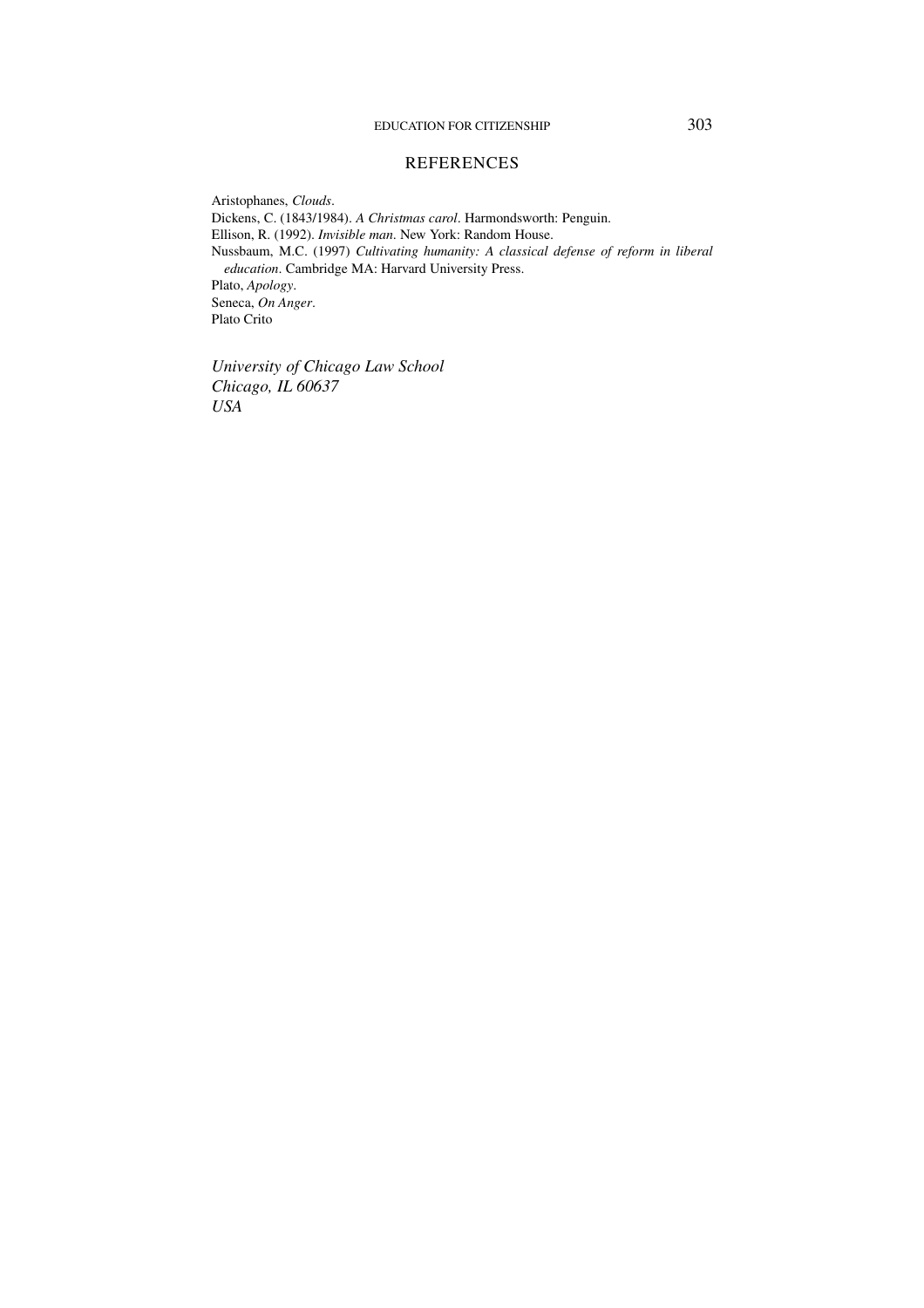# EDUCATION FOR CITIZENSHIP 303

# REFERENCES

Aristophanes, *Clouds*. Dickens, C. (1843/1984). *A Christmas carol*. Harmondsworth: Penguin. Ellison, R. (1992). *Invisible man*. New York: Random House. Nussbaum, M.C. (1997) *Cultivating humanity: A classical defense of reform in liberal education*. Cambridge MA: Harvard University Press. Plato, *Apology*. Seneca, *On Anger*. Plato Crito

*University of Chicago Law School Chicago, IL 60637 USA*